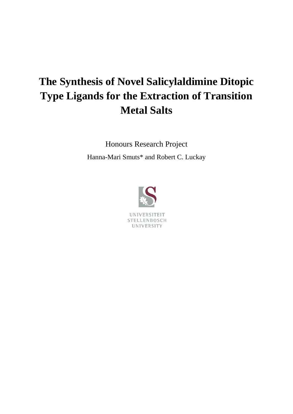# **The Synthesis of Novel Salicylaldimine Ditopic Type Ligands for the Extraction of Transition Metal Salts**

Honours Research Project Hanna-Mari Smuts\* and Robert C. Luckay

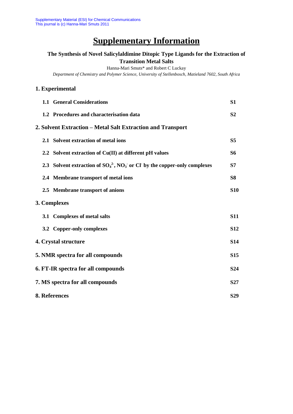# **Supplementary Information**

### **The Synthesis of Novel Salicylaldimine Ditopic Type Ligands for the Extraction of Transition Metal Salts**

Hanna-Mari Smuts\* and Robert C Luckay

*Department of Chemistry and Polymer Science, University of Stellenbosch, Matieland 7602, South Africa*

### **1. Experimental**

|                                 | <b>1.1 General Considerations</b>                                              | S <sub>1</sub>  |
|---------------------------------|--------------------------------------------------------------------------------|-----------------|
|                                 | 1.2 Procedures and characterisation data                                       | S <sub>2</sub>  |
|                                 | 2. Solvent Extraction – Metal Salt Extraction and Transport                    |                 |
|                                 | 2.1 Solvent extraction of metal ions                                           | S <sub>5</sub>  |
|                                 | 2.2 Solvent extraction of Cu(II) at different pH values                        | S6              |
|                                 | 2.3 Solvent extraction of $SO_4^2$ , $NO_3$ or Cl by the copper-only complexes | S7              |
|                                 | 2.4 Membrane transport of metal ions                                           | <b>S8</b>       |
|                                 | 2.5 Membrane transport of anions                                               | <b>S10</b>      |
|                                 | 3. Complexes                                                                   |                 |
|                                 | 3.1 Complexes of metal salts                                                   | <b>S11</b>      |
|                                 | 3.2 Copper-only complexes                                                      | <b>S12</b>      |
|                                 | 4. Crystal structure                                                           | <b>S14</b>      |
|                                 | 5. NMR spectra for all compounds                                               | <b>S15</b>      |
|                                 | 6. FT-IR spectra for all compounds                                             | S <sub>24</sub> |
| 7. MS spectra for all compounds |                                                                                |                 |
| 8. References                   |                                                                                |                 |
|                                 |                                                                                |                 |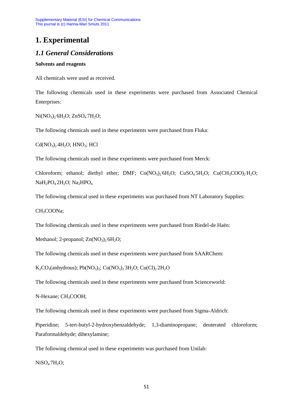# **1. Experimental**

### *1.1 General Considerations*

#### **Solvents and reagents**

All chemicals were used as received.

The following chemicals used in these experiments were purchased from Associated Chemical Enterprises:

 $Ni(NO<sub>3</sub>)<sub>2</sub> 6H<sub>2</sub>O; ZnSO<sub>4</sub> 7H<sub>2</sub>O;$ 

The following chemicals used in these experiments were purchased from Fluka:

 $Cd(NO<sub>3</sub>)<sub>2</sub>4H<sub>2</sub>O; HNO<sub>3</sub>; HCl$ 

The following chemicals used in these experiments were purchased from Merck:

Chloroform; ethanol; diethyl ether; DMF;  $Co(NO<sub>3</sub>)<sub>2</sub>6H<sub>2</sub>O$ ;  $CuSO<sub>4</sub>5H<sub>2</sub>O$ ;  $Cu(CH<sub>3</sub>COO)<sub>2</sub>H<sub>2</sub>O$ ; NaH<sub>2</sub>PO<sub>4</sub> 2H<sub>2</sub>O; Na<sub>2</sub>HPO<sub>4</sub>

The following chemical used in these experiments was purchased from NT Laboratory Supplies:

CH<sub>3</sub>COONa;

The following chemicals used in these experiments were purchased from Riedel-de Haën:

Methanol; 2-propanol;  $Zn(NO<sub>3</sub>)<sub>2</sub> 6H<sub>2</sub>O$ ;

The following chemicals used in these experiments were purchased from SAARChem:

 $K_2CO_3(antydrous); Pb(NO<sub>3</sub>)<sub>2</sub>; Cu(NO<sub>3</sub>)<sub>2</sub>3H<sub>2</sub>O; Cu(Cl)<sub>2</sub>2H<sub>2</sub>O$ 

The following chemicals used in these experiments were purchased from Scienceworld:

N-Hexane; CH<sub>3</sub>COOH;

The following chemicals used in these experiments were purchased from Sigma-Aldrich:

Piperidine; 5-tert-butyl-2-hydroxybenzaldehyde; 1,3-diaminopropane; deuterated chloroform; Paraformaldehyde; dihexylamine;

The following chemical used in these experiments was purchased from Unilab:

 $NiSO<sub>4</sub>7H<sub>2</sub>O;$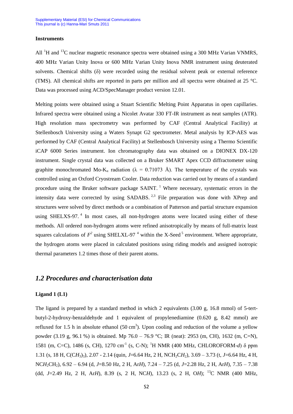#### **Instruments**

All  ${}^{1}H$  and  ${}^{13}C$  nuclear magnetic resonance spectra were obtained using a 300 MHz Varian VNMRS, 400 MHz Varian Unity Inova or 600 MHz Varian Unity Inova NMR instrument using deuterated solvents. Chemical shifts (δ) were recorded using the residual solvent peak or external reference (TMS). All chemical shifts are reported in parts per million and all spectra were obtained at 25 °C. Data was processed using ACD/SpecManager product version 12.01.

Melting points were obtained using a Stuart Scientific Melting Point Apparatus in open capillaries. Infrared spectra were obtained using a Nicolet Avatar 330 FT-IR instrument as neat samples (ATR). High resolution mass spectrometry was performed by CAF (Central Analytical Facility) at Stellenbosch University using a Waters Synapt G2 spectrometer. Metal analysis by ICP-AES was performed by CAF (Central Analytical Facility) at Stellenbosch University using a Thermo Scientific iCAP 6000 Series instrument. Ion chromatography data was obtained on a DIONEX DX-120 instrument. Single crystal data was collected on a Bruker SMART Apex CCD diffractometer using graphite monochromated Mo-K<sub>α</sub> radiation ( $\lambda = 0.71073$  Å). The temperature of the crystals was controlled using an Oxford Cryostream Cooler. Data reduction was carried out by means of a standard procedure using the Bruker software package SAINT.<sup>1</sup> Where necessary, systematic errors in the intensity data were corrected by using SADABS.  $2,3$  File preparation was done with XPrep and structures were solved by direct methods or a combination of Patterson and partial structure expansion using SHELXS-97.<sup>4</sup> In most cases, all non-hydrogen atoms were located using either of these methods. All ordered non-hydrogen atoms were refined anisotropically by means of full-matrix least squares calculations of  $F^2$  using SHELXL-97<sup>4</sup> within the X-Seed<sup>5</sup> environment. Where appropriate, the hydrogen atoms were placed in calculated positions using riding models and assigned isotropic thermal parameters 1.2 times those of their parent atoms.

### *1.2 Procedures and characterisation data*

#### **Ligand 1 (L1)**

The ligand is prepared by a standard method in which 2 equivalents (3.00 g, 16.8 mmol) of 5-tertbutyl-2-hydroxy-benzaldehyde and 1 equivalent of propylenediamine (0.620 g, 8.42 mmol) are refluxed for 1.5 h in absolute ethanol  $(50 \text{ cm}^3)$ . Upon cooling and reduction of the volume a yellow powder (3.19 g, 96.1 %) is obtained. Mp 76.0 – 76.9 °C; IR (neat): 2953 (m, CH), 1632 (m, C=N), 1581 (m, C=C), 1486 (s, CH), 1270 cm<sup>-1</sup> (s, C-N); <sup>1</sup>H NMR (400 MHz, CHLOROFORM-*d*) δ ppm 1.31 (s, 18 H, C(CH<sub>3</sub>)<sub>3</sub>), 2.07 - 2.14 (quin, *J*=6.64 Hz, 2 H, NCH<sub>2</sub>CH<sub>2</sub>), 3.69 – 3.73 (t, *J*=6.64 Hz, 4 H, NC*H*2CH2), 6.92 – 6.94 (d, *J*=8.50 Hz, 2 H, Ar*H*), 7.24 – 7.25 (d, *J*=2.28 Hz, 2 H, Ar*H*), 7.35 – 7.38 (dd, *J*=2.49 Hz, 2 H, Ar*H*), 8.39 (s, 2 H, NC*H*), 13.23 (s, 2 H, O*H*); <sup>13</sup>C NMR (400 MHz,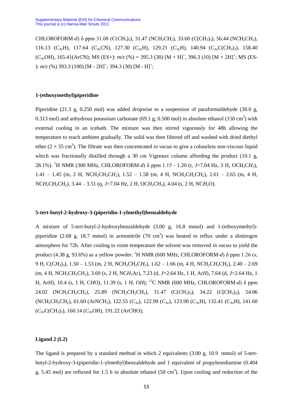CHLOROFORM-*d*) δ ppm 31.08 (C(*C*H<sub>3</sub>)<sub>3</sub>), 31.47 (NCH<sub>2</sub>CH<sub>2</sub>), 33.60 (*C*(CH<sub>3</sub>)<sub>3</sub>), 56.44 (N*CH<sub>2</sub>CH<sub>2</sub>)*, 116.13 (*C*ArH), 117.64 (*C*ArCN), 127.30 (*C*ArH), 129.21 (*C*ArH), 140.94 (*C*ArC(CH3)3), 158.40  $(C_{Ar}OH)$ , 165.41(Ar*C*N); MS (ES+):  $m/z$  (%) = 395.3 (30) [M + H]<sup>+</sup>, 396.3 (10) [M + 2H]<sup>+</sup>; MS (ES-):  $m/z$  (%) 393.3 (100) [M - 2H]<sup>+</sup>; 394.3 (30) [M - H]<sup>+</sup>;

#### **1-(ethoxymethyl)piperidine**

Piperidine (21.3 g, 0.250 mol) was added dropwise to a suspension of paraformaldehyde (30.0 g, 0.313 mol) and anhydrous potassium carbonate (69.1 g, 0.500 mol) in absolute ethanol (150 cm<sup>3</sup>) with external cooling in an icebath. The mixture was then stirred vigorously for 48h allowing the temperature to reach ambient gradually. The solid was then filtered off and washed with dried diethyl ether  $(2 \times 35 \text{ cm}^3)$ . The filtrate was then concentrated *in vacuo* to give a colourless non-viscous liquid which was fractionally distilled through a 30 cm Vigreaux column affording the product (10.1 g, 28.1%). <sup>1</sup>H NMR (300 MHz, CHLOROFORM-*d*) δ ppm 1.15 - 1.20 (t, *J*=7.04 Hz, 3 H, OCH2C*H*3),  $1.41 - 1.45$  (m, 2 H, NCH<sub>2</sub>CH<sub>2</sub>CH<sub>2</sub>),  $1.52 - 1.58$  (m, 4 H, NCH<sub>2</sub>CH<sub>2</sub>CH<sub>2</sub>),  $2.61 - 2.65$  (m, 4 H, NC*H*<sub>2</sub>CH<sub>2</sub>CH<sub>2</sub>), 3.44 – 3.51 (q, *J*=7.04 Hz, 2 H, OC*H*<sub>2</sub>CH<sub>3</sub>), 4.04 (s, 2 H, NC*H*<sub>2</sub>O).

#### **5-tert-butyl-2-hydroxy-3-(piperidin-1-ylmethyl)benzaldehyde**

A mixture of 5-tert-butyl-2-hydroxybenzaldehyde (3.00 g, 16.8 mmol) and 1-(ethoxymethyl) piperidine (2.68 g, 18.7 mmol) in acetonitrile (70 cm<sup>3</sup>) was heated to reflux under a dinitrogen atmosphere for 72h. After cooling to room temperature the solvent was removed *in vacuo* to yield the product (4.38 g, 93.6%) as a yellow powder. <sup>1</sup>H NMR (600 MHz, CHLOROFORM-*d*) δ ppm 1.26 (s, 9 H, C(CH<sub>3</sub>)<sub>3</sub>), 1.50 – 1.53 (m, 2 H, NCH<sub>2</sub>CH<sub>2</sub>CH<sub>2</sub>), 1.62 – 1.66 (m, 4 H, NCH<sub>2</sub>CH<sub>2</sub>CH<sub>2</sub>), 2.40 – 2.69 (m, 4 H, NC*H*<sub>2</sub>CH<sub>2</sub>CH<sub>2</sub>), 3.69 (s, 2 H, NC*H*<sub>2</sub>Ar), 7.23 (d, *J*=2.64 Hz, 1 H, Ar*H*), 7.64 (d, *J*=2.64 Hz, 1 H, Ar*H*), 10.4 (s, 1 H, C*H*O), 11.39 (s, 1 H, O*H*); <sup>13</sup>C NMR (600 MHz, CHLOROFORM-*d*) δ ppm 24.02 (NCH<sub>2</sub>CH<sub>2</sub>CH<sub>2</sub>), 25.89 (NCH<sub>2</sub>CH<sub>2</sub>CH<sub>2</sub>), 31.47 (C(*CH<sub>3</sub>*)<sub>3</sub>), 34.22 (*C*(CH<sub>3</sub>)<sub>3</sub>), 54.06 (NCH<sub>2</sub>CH<sub>2</sub>CH<sub>2</sub>), 61.60 (ArNCH<sub>2</sub>), 122.55 (*C<sub>Ar</sub>*), 122.99 (*C<sub>Ar</sub>*), 123.90 (*C<sub>Ar</sub>H*), 132.41 (*C<sub>Ar</sub>H*), 141.60 (*C*ArC(CH3)3), 160.14 (*C*ArOH), 191.22 (Ar*C*HO);

#### **Ligand 2 (L2)**

The ligand is prepared by a standard method in which 2 equivalents  $(3.00 \text{ g}, 10.9 \text{ mmol})$  of 5-tertbutyl-2-hydroxy-3-(piperidin-1-ylmethyl)benzaldehyde and 1 equivalent of propylenediamine (0.404 g, 5.45 mol) are refluxed for 1.5 h in absolute ethanol  $(50 \text{ cm}^3)$ . Upon cooling and reduction of the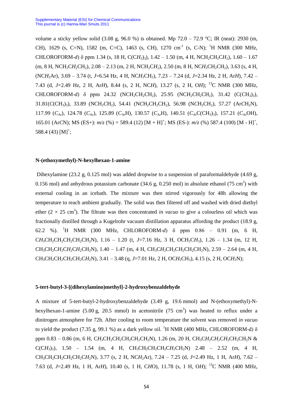volume a sticky yellow solid (3.08 g, 96.0 %) is obtained. Mp 72.0 – 72.9 °C; IR (neat): 2930 (m, CH), 1629 (s, C=N), 1582 (m, C=C), 1463 (s, CH), 1270 cm<sup>-1</sup> (s, C-N); <sup>1</sup>H NMR (300 MHz, CHLOROFORM-*d*)  $\delta$  ppm 1.34 (s, 18 H, C(CH<sub>3</sub>)<sub>3</sub>), 1.42 – 1.50 (m, 4 H, NCH<sub>2</sub>CH<sub>2</sub>CH<sub>2</sub>), 1.60 – 1.67  $(m, 8 \text{ H}, \text{NCH}_2\text{CH}_2\text{CH}_2)$ ,  $2.08 - 2.13$  (m, 2 H, NCH<sub>2</sub>CH<sub>2</sub>), 2.50 (m, 8 H, NCH<sub>2</sub>CH<sub>2</sub>CH<sub>2</sub>), 3.63 (s, 4 H, (NC*H*2Ar), 3.69 – 3.74 (t, *J*=6.54 Hz, 4 H, NC*H*2CH2), 7.23 – 7.24 (d, *J*=2.34 Hz, 2 H, Ar*H*), 7.42 – 7.43 (d, *J*=2.49 Hz, 2 H, Ar*H*), 8.44 (s, 2 H, NC*H*), 13.27 (s, 2 H, O*H*); <sup>13</sup>C NMR (300 MHz,  $CHLOROFORM-*d*$ )  $\delta$  ppm 24.32 (NCH<sub>2</sub>CH<sub>2</sub>CH<sub>2</sub>), 25.95 (NCH<sub>2</sub>CH<sub>2</sub>CH<sub>2</sub>), 31.42 (C(*CH<sub>3</sub>*)<sub>3</sub>), 31.81(*C*(CH3)3), 33.89 (NCH2*C*H2), 54.41 (N*C*H2CH2CH2), 56.98 (N*C*H2CH2), 57.27 (Ar*C*H2N), 117.99 (*C<sub>Ar</sub>*), 124.78 (*C<sub>Ar</sub>*), 125.89 (*C<sub>Ar</sub>H*), 130.57 (*C<sub>Ar</sub>H*), 140.51 (*C<sub>Ar</sub>C*(*CH<sub>3</sub>*)<sub>3</sub>), 157.21 (*C<sub>Ar</sub>OH*), 165.01 (ArCN); MS (ES+):  $m/z$  (%) = 589.4 (12) [M + H]<sup>+</sup>; MS (ES-):  $m/z$  (%) 587.4 (100) [M - H]<sup>+</sup>, 588.4 (43)  $[M]$ <sup>+</sup>;

#### **N-(ethoxymethyl)-N-hexylhexan-1-amine**

Dihexylamine (23.2 g, 0.125 mol) was added dropwise to a suspension of paraformaldehyde (4.69 g, 0.156 mol) and anhydrous potassium carbonate  $(34.6 \text{ g}, 0.250 \text{ mol})$  in absolute ethanol  $(75 \text{ cm}^3)$  with external cooling in an icebath. The mixture was then stirred vigorously for 48h allowing the temperature to reach ambient gradually. The solid was then filtered off and washed with dried diethyl ether  $(2 \times 25 \text{ cm}^3)$ . The filtrate was then concentrated *in vacuo* to give a colourless oil which was fractionally distilled through a Kugelrohr vacuum distillation apparatus affording the product (18.9 g, 62.2 %). <sup>1</sup>H NMR (300 MHz, CHLOROFORM-*d*) δ ppm 0.86 – 0.91 (m, 6 H,  $CH_3CH_2CH_2CH_2CH_2CH_2CH_2N$ ),  $1.16 - 1.20$  (t,  $J=7.16$  Hz, 3 H, OCH<sub>2</sub>CH<sub>3</sub>),  $1.26 - 1.34$  (m, 12 H, CH<sub>3</sub>CH<sub>2</sub>CH<sub>2</sub>CH<sub>2</sub>CH<sub>2</sub>CH<sub>2</sub>N), 1.40 – 1.47 (m, 4 H, CH<sub>3</sub>CH<sub>2</sub>CH<sub>2</sub>CH<sub>2</sub>CH<sub>2</sub>CH<sub>2</sub>N), 2.59 – 2.64 (m, 4 H, CH3CH2CH2CH2CH2C*H*2N), 3.41 – 3.48 (q, *J*=7.01 Hz, 2 H, OC*H*2CH3), 4.15 (s, 2 H, OC*H*2N);

#### **5-tert-butyl-3-[(dihexylamino)methyl]-2-hydroxybenzaldehyde**

A mixture of 5-tert-butyl-2-hydroxybenzaldehyde (3.49 g, 19.6 mmol) and N-(ethoxymethyl)-Nhexylhexan-1-amine  $(5.00 \text{ g}, 20.5 \text{ mmol})$  in acetonitrile  $(75 \text{ cm}^3)$  was heated to reflux under a dinitrogen atmosphere for 72h. After cooling to room temperature the solvent was removed *in vacuo*  to yield the product (7.35 g, 99.1 %) as a dark yellow oil. <sup>1</sup>H NMR (400 MHz, CHLOROFORM-d)  $\delta$ ppm  $0.83 - 0.86$  (m, 6 H, CH<sub>3</sub>CH<sub>2</sub>CH<sub>2</sub>CH<sub>2</sub>CH<sub>2</sub>CH<sub>2</sub>N), 1.26 (m, 20 H, CH<sub>3</sub>CH<sub>2</sub>CH<sub>2</sub>CH<sub>2</sub>CH<sub>2</sub>CH<sub>2</sub>N &  $C(CH_3)$ <sub>3</sub>), 1.50 – 1.54 (m, 4 H, CH<sub>3</sub>CH<sub>2</sub>CH<sub>2</sub>CH<sub>2</sub>CH<sub>2</sub>CH<sub>2</sub>N) 2.48 – 2.52 (m, 4 H, CH3CH2CH2CH2CH2C*H*2N), 3.77 (s, 2 H, NC*H*2Ar), 7.24 – 7.25 (d, *J*=2.49 Hz, 1 H, Ar*H*), 7.62 – 7.63 (d, *J*=2.49 Hz, 1 H, Ar*H*), 10.40 (s, 1 H, C*H*O), 11.78 (s, 1 H, O*H*); <sup>13</sup>C NMR (400 MHz,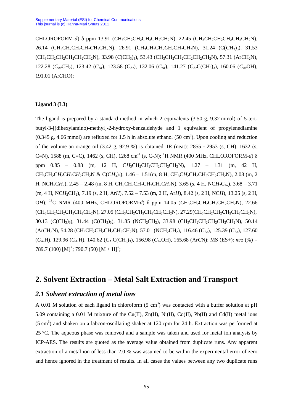CHLOROFORM-*d*) δ ppm 13.91 (*C*H3CH2CH2CH2CH2CH2N), 22.45 (CH3*C*H2CH2CH2CH2CH2N), 26.14 (CH<sub>3</sub>CH<sub>2</sub>CH<sub>2</sub>CH<sub>2</sub>CH<sub>2</sub>CH<sub>2</sub>N), 26.91 (CH<sub>3</sub>CH<sub>2</sub>CH<sub>2</sub>CH<sub>2</sub>CH<sub>2</sub>CH<sub>2</sub>N), 31.24 (C(*CH*<sub>3</sub>)<sub>3</sub>), 31.53 (CH3CH2*C*H2CH2CH2CH2N), 33.98 (*C*(CH3)3), 53.43 (CH3CH2CH2CH2CH2*C*H2N), 57.31 (Ar*C*H2N), 122.28 (*C*<sub>Ar</sub>CH<sub>2</sub>), 123.42 (*C*<sub>Ar</sub>), 123.58 (*C*<sub>Ar</sub>), 132.06 (*C*<sub>Ar</sub>), 141.27 (*C*<sub>Ar</sub>C(CH<sub>3</sub>)<sub>3</sub>), 160.06 (*C*<sub>Ar</sub>OH), 191.01 (Ar*C*HO);

### **Ligand 3 (L3)**

The ligand is prepared by a standard method in which 2 equivalents (3.50 g, 9.32 mmol) of 5-tertbutyl-3-[(dihexylamino)-methyl]-2-hydroxy-benzaldehyde and 1 equivalent of propylenediamine  $(0.345 \text{ g}, 4.66 \text{ mmol})$  are refluxed for 1.5 h in absolute ethanol  $(50 \text{ cm}^3)$ . Upon cooling and reduction of the volume an orange oil (3.42 g, 92.9 %) is obtained. IR (neat): 2855 - 2953 (s, CH), 1632 (s, C=N), 1588 (m, C=C), 1462 (s, CH), 1268 cm<sup>-1</sup> (s, C-N); <sup>1</sup>H NMR (400 MHz, CHLOROFORM-*d*) δ ppm 0.85 – 0.88 (m, 12 H, CH<sub>3</sub>CH<sub>2</sub>CH<sub>2</sub>CH<sub>2</sub>CH<sub>2</sub>CH<sub>2</sub>N), 1.27 – 1.31 (m, 42 H, CH<sub>3</sub>CH<sub>2</sub>CH<sub>2</sub>CH<sub>2</sub>CH<sub>2</sub>CH<sub>2</sub>N & C(CH<sub>3</sub>)<sub>3</sub>), 1.46 – 1.51(m, 8 H, CH<sub>3</sub>CH<sub>2</sub>CH<sub>2</sub>CH<sub>2</sub>CH<sub>2</sub>CH<sub>2</sub>N), 2.08 (m, 2 H, NCH<sub>2</sub>CH<sub>2</sub>), 2.45 – 2.48 (m, 8 H, CH<sub>3</sub>CH<sub>2</sub>CH<sub>2</sub>CH<sub>2</sub>CH<sub>2</sub>CH<sub>2</sub>N), 3.65 (s, 4 H, NCH<sub>2</sub>C<sub>Ar</sub>), 3.68 – 3.71 (m, 4 H, NC*H*<sub>2</sub>CH<sub>2</sub>), 7.19 (s, 2 H, Ar*H*), 7.52 – 7.53 (m, 2 H, Ar*H*), 8.42 (s, 2 H, NC*H*), 13.25 (s, 2 H, O*H*); <sup>13</sup>C NMR (400 MHz, CHLOROFORM-*d*) δ ppm 14.05 (CH<sub>3</sub>CH<sub>2</sub>CH<sub>2</sub>CH<sub>2</sub>CH<sub>2</sub>CH<sub>2</sub>CH<sub>2</sub>N), 22.66 (CH<sub>3</sub>CH<sub>2</sub>CH<sub>2</sub>CH<sub>2</sub>CH<sub>2</sub>CH<sub>2</sub>N), 27.05 (CH<sub>3</sub>CH<sub>2</sub>CH<sub>2</sub>CH<sub>2</sub>CH<sub>2</sub>CH<sub>2</sub>N), 27.29 (CH<sub>3</sub>CH<sub>2</sub>CH<sub>2</sub>CH<sub>2</sub>CH<sub>2</sub>CH<sub>2</sub>N), 30.13 (*C*(CH<sub>3</sub>)<sub>3</sub>), 31.44 (*C*(*CH<sub>3</sub>*)<sub>3</sub>), 31.85 (*NCH<sub>2</sub>CH<sub>2</sub></sub>CH<sub>2</sub>)*, 33.98 (*CH<sub>3</sub>CH<sub>2</sub>CH<sub>2</sub>CH<sub>2</sub>CH<sub>2</sub>CH<sub>2</sub>N), 50.14*  $(ArCH<sub>2</sub>N)$ , 54.28  $(CH<sub>3</sub>CH<sub>2</sub>CH<sub>2</sub>CH<sub>2</sub>CH<sub>2</sub>CH<sub>2</sub>N)$ , 57.01  $(NCH<sub>2</sub>CH<sub>2</sub>)$ , 116.46  $(C<sub>Ar</sub>)$ , 125.39  $(C<sub>Ar</sub>)$ , 127.60  $(C_{Ar}H)$ , 129.96  $(C_{Ar}H)$ , 140.62  $(C_{Ar}CCH_3)$ <sub>3</sub>), 156.98  $(C_{Ar}OH)$ , 165.68 (Ar*C*N); MS (ES+):  $m/z$  (%) = 789.7 (100)  $[M]^{\dagger}$ ; 790.7 (50)  $[M + H]^{\dagger}$ ;

### **2. Solvent Extraction – Metal Salt Extraction and Transport**

### *2.1 Solvent extraction of metal ions*

A 0.01 M solution of each ligand in chloroform  $(5 \text{ cm}^3)$  was contacted with a buffer solution at pH 5.09 containing a 0.01 M mixture of the Cu(II), Zn(II), Ni(II), Co(II), Pb(II) and Cd(II) metal ions  $(5 \text{ cm}^3)$  and shaken on a labcon-oscillating shaker at 120 rpm for 24 h. Extraction was performed at 25 °C. The aqueous phase was removed and a sample was taken and used for metal ion analysis by ICP-AES. The results are quoted as the average value obtained from duplicate runs. Any apparent extraction of a metal ion of less than 2.0 % was assumed to be within the experimental error of zero and hence ignored in the treatment of results. In all cases the values between any two duplicate runs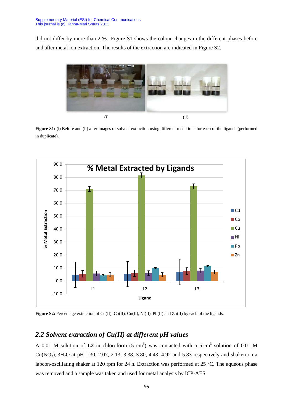did not differ by more than 2 %. Figure S1 shows the colour changes in the different phases before and after metal ion extraction. The results of the extraction are indicated in Figure S2.



**Figure S1:** (i) Before and (ii) after images of solvent extraction using different metal ions for each of the ligands (performed in duplicate).



**Figure S2:** Percentage extraction of Cd(II), Co(II), Cu(II), Ni(II), Pb(II) and Zn(II) by each of the ligands.

### *2.2 Solvent extraction of Cu(II) at different pH values*

A 0.01 M solution of  $L2$  in chloroform (5 cm<sup>3</sup>) was contacted with a 5 cm<sup>3</sup> solution of 0.01 M Cu(NO<sub>3</sub>)<sub>2</sub><sup>3</sup>H<sub>2</sub>O at pH 1.30, 2.07, 2.13, 3.38, 3.80, 4.43, 4.92 and 5.83 respectively and shaken on a labcon-oscillating shaker at 120 rpm for 24 h. Extraction was performed at 25 °C. The aqueous phase was removed and a sample was taken and used for metal analysis by ICP-AES.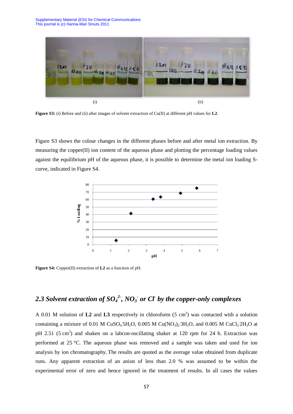

**Figure S3:** (i) Before and (ii) after images of solvent extraction of Cu(II) at different pH values for **L2**.

Figure S3 shows the colour changes in the different phases before and after metal ion extraction. By measuring the copper(II) ion content of the aqueous phase and plotting the percentage loading values against the equilibrium pH of the aqueous phase, it is possible to determine the metal ion loading Scurve, indicated in Figure S4.



**Figure S4:** Copper(II) extraction of **L2** as a function of pH.

# *2.3 Solvent extraction of SO<sup>4</sup> 2- , NO<sup>3</sup> - or Cl-by the copper-only complexes*

A 0.01 M solution of  $L2$  and  $L3$  respectively in chloroform  $(5 \text{ cm}^3)$  was contacted with a solution containing a mixture of 0.01 M CuSO<sub>4</sub>5H<sub>2</sub>O, 0.005 M Cu(NO<sub>3</sub>)<sub>2</sub> 3H<sub>2</sub>O, and 0.005 M CuCl<sub>2</sub> 2H<sub>2</sub>O at pH 2.51 (5 cm<sup>3</sup>) and shaken on a labcon-oscillating shaker at 120 rpm for 24 h. Extraction was performed at 25 °C. The aqueous phase was removed and a sample was taken and used for ion analysis by ion chromatography. The results are quoted as the average value obtained from duplicate runs. Any apparent extraction of an anion of less than 2.0 % was assumed to be within the experimental error of zero and hence ignored in the treatment of results. In all cases the values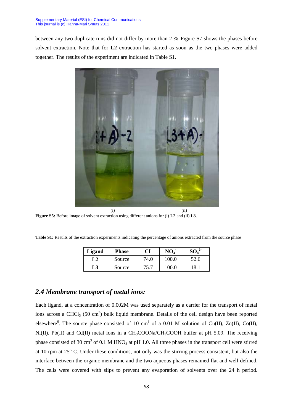between any two duplicate runs did not differ by more than 2 %. Figure S7 shows the phases before solvent extraction. Note that for **L2** extraction has started as soon as the two phases were added together. The results of the experiment are indicated in Table S1.



**Figure S5:** Before image of solvent extraction using different anions for (i) **L2** and (ii) **L3**.

| <b>Ligand</b> | <b>Phase</b> | Cl   | NO <sub>3</sub> |      |
|---------------|--------------|------|-----------------|------|
| L2            | Source       | 74.0 | 100.0           | 52.6 |
| L3            | Source       | 75.7 | 100.0           | `8   |

Table S1: Results of the extraction experiments indicating the percentage of anions extracted from the source phase

### *2.4 Membrane transport of metal ions:*

Each ligand, at a concentration of 0.002M was used separately as a carrier for the transport of metal ions across a CHCl<sub>3</sub> (50 cm<sup>3</sup>) bulk liquid membrane. Details of the cell design have been reported elsewhere<sup>6</sup>. The source phase consisted of 10 cm<sup>3</sup> of a 0.01 M solution of Cu(II), Zn(II), Co(II), Ni(II), Pb(II) and Cd(II) metal ions in a  $CH_3COONa/CH_3COOH$  buffer at pH 5.09. The receiving phase consisted of 30 cm<sup>3</sup> of 0.1 M HNO<sub>3</sub> at pH 1.0. All three phases in the transport cell were stirred at 10 rpm at 25° C. Under these conditions, not only was the stirring process consistent, but also the interface between the organic membrane and the two aqueous phases remained flat and well defined. The cells were covered with slips to prevent any evaporation of solvents over the 24 h period.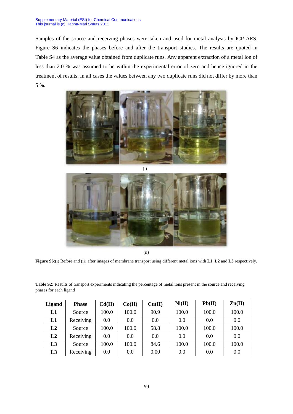Samples of the source and receiving phases were taken and used for metal analysis by ICP-AES. Figure S6 indicates the phases before and after the transport studies. The results are quoted in Table S4 as the average value obtained from duplicate runs. Any apparent extraction of a metal ion of less than 2.0 % was assumed to be within the experimental error of zero and hence ignored in the treatment of results. In all cases the values between any two duplicate runs did not differ by more than 5 %.





(ii)

**Figure S6**:(i) Before and (ii) after images of membrane transport using different metal ions with **L1**, **L2** and **L3** respectively.

**Table S2:** Results of transport experiments indicating the percentage of metal ions present in the source and receiving phases for each ligand

| <b>Ligand</b>  | <b>Phase</b> | Cd(II) | Co(II) | Cu(II) | Ni(II) | Pb(II) | $\mathbf{Zn}(\mathbf{II})$ |
|----------------|--------------|--------|--------|--------|--------|--------|----------------------------|
| L1             | Source       | 100.0  | 100.0  | 90.9   | 100.0  | 100.0  | 100.0                      |
| L1             | Receiving    | 0.0    | 0.0    | 0.0    | 0.0    | 0.0    | 0.0                        |
| L2             | Source       | 100.0  | 100.0  | 58.8   | 100.0  | 100.0  | 100.0                      |
| L2             | Receiving    | 0.0    | 0.0    | 0.0    | 0.0    | 0.0    | 0.0                        |
| L <sub>3</sub> | Source       | 100.0  | 100.0  | 84.6   | 100.0  | 100.0  | 100.0                      |
| L <sub>3</sub> | Receiving    | 0.0    | 0.0    | 0.00   | 0.0    | 0.0    | 0.0                        |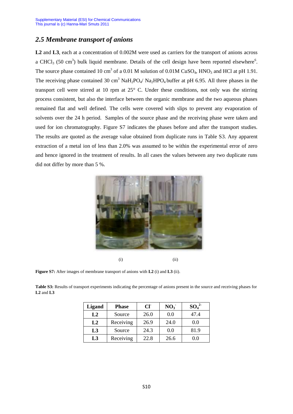### *2.5 Membrane transport of anions*

**L2** and **L3**, each at a concentration of 0.002M were used as carriers for the transport of anions across a CHCl<sub>3</sub> (50 cm<sup>3</sup>) bulk liquid membrane. Details of the cell design have been reported elsewhere<sup>6</sup>. The source phase contained 10 cm<sup>3</sup> of a 0.01 M solution of 0.01M CuSO<sub>4</sub>, HNO<sub>3</sub> and HCl at pH 1.91. The receiving phase contained 30 cm<sup>3</sup> NaH<sub>2</sub>PO<sub>4</sub>/ Na<sub>2</sub>HPO<sub>4</sub> buffer at pH 6.95. All three phases in the transport cell were stirred at 10 rpm at 25° C. Under these conditions, not only was the stirring process consistent, but also the interface between the organic membrane and the two aqueous phases remained flat and well defined. The cells were covered with slips to prevent any evaporation of solvents over the 24 h period. Samples of the source phase and the receiving phase were taken and used for ion chromatography. Figure S7 indicates the phases before and after the transport studies. The results are quoted as the average value obtained from duplicate runs in Table S3. Any apparent extraction of a metal ion of less than 2.0% was assumed to be within the experimental error of zero and hence ignored in the treatment of results. In all cases the values between any two duplicate runs did not differ by more than 5 %.



 $(i)$   $(ii)$ 

**Figure S7:** After images of membrane transport of anions with **L2** (i) and **L3** (ii).

**Table S3:** Results of transport experiments indicating the percentage of anions present in the source and receiving phases for **L2** and **L3**

| Ligand         | <b>Phase</b> | CF   | NO <sub>3</sub> | $SO_4^2$ |
|----------------|--------------|------|-----------------|----------|
| L2             | Source       | 26.0 | 0.0             | 47.4     |
| L2             | Receiving    | 26.9 | 24.0            | $0.0\,$  |
| L <sub>3</sub> | Source       | 24.3 | 0.0             | 81.9     |
| L <sub>3</sub> | Receiving    | 22.8 | 26.6            | 0.0      |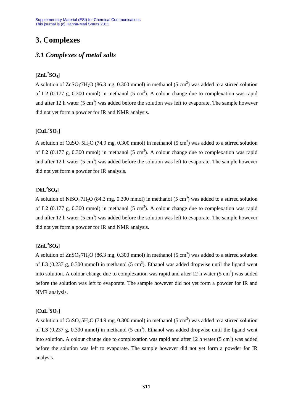## **3. Complexes**

### *3.1 Complexes of metal salts*

### **[ZnL<sup>2</sup> SO4]**

A solution of  $ZnSO_4$ <sup>-7</sup>H<sub>2</sub>O (86.3 mg, 0.300 mmol) in methanol (5 cm<sup>3</sup>) was added to a stirred solution of L2  $(0.177 \text{ g}, 0.300 \text{ mmol})$  in methanol  $(5 \text{ cm}^3)$ . A colour change due to complexation was rapid and after 12 h water  $(5 \text{ cm}^3)$  was added before the solution was left to evaporate. The sample however did not yet form a powder for IR and NMR analysis.

### **[CuL<sup>2</sup> SO4]**

A solution of  $CuSO_4$ :5H<sub>2</sub>O (74.9 mg, 0.300 mmol) in methanol (5 cm<sup>3</sup>) was added to a stirred solution of L2  $(0.177 \text{ g}, 0.300 \text{ mmol})$  in methanol  $(5 \text{ cm}^3)$ . A colour change due to complexation was rapid and after 12 h water  $(5 \text{ cm}^3)$  was added before the solution was left to evaporate. The sample however did not yet form a powder for IR analysis.

### **[NiL<sup>2</sup> SO4]**

A solution of NiSO<sub>4</sub> $7H_2O$  (84.3 mg, 0.300 mmol) in methanol (5 cm<sup>3</sup>) was added to a stirred solution of L2  $(0.177 \text{ g}, 0.300 \text{ mmol})$  in methanol  $(5 \text{ cm}^3)$ . A colour change due to complexation was rapid and after 12 h water  $(5 \text{ cm}^3)$  was added before the solution was left to evaporate. The sample however did not yet form a powder for IR and NMR analysis.

### **[ZnL<sup>3</sup> SO4]**

A solution of  $ZnSO_4$ <sup>-7</sup>H<sub>2</sub>O (86.3 mg, 0.300 mmol) in methanol (5 cm<sup>3</sup>) was added to a stirred solution of L3  $(0.237 \text{ g}, 0.300 \text{ mmol})$  in methanol  $(5 \text{ cm}^3)$ . Ethanol was added dropwise until the ligand went into solution. A colour change due to complexation was rapid and after 12 h water  $(5 \text{ cm}^3)$  was added before the solution was left to evaporate. The sample however did not yet form a powder for IR and NMR analysis.

### **[CuL<sup>3</sup> SO4]**

A solution of  $CuSO_4$ :5H<sub>2</sub>O (74.9 mg, 0.300 mmol) in methanol (5 cm<sup>3</sup>) was added to a stirred solution of L3  $(0.237 \text{ g}, 0.300 \text{ mmol})$  in methanol  $(5 \text{ cm}^3)$ . Ethanol was added dropwise until the ligand went into solution. A colour change due to complexation was rapid and after 12 h water  $(5 \text{ cm}^3)$  was added before the solution was left to evaporate. The sample however did not yet form a powder for IR analysis.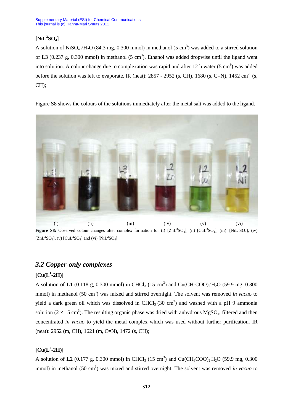### **[NiL<sup>3</sup> SO4]**

A solution of NiSO<sub>4</sub> $7H_2O$  (84.3 mg, 0.300 mmol) in methanol (5 cm<sup>3</sup>) was added to a stirred solution of L3 (0.237 g, 0.300 mmol) in methanol  $(5 \text{ cm}^3)$ . Ethanol was added dropwise until the ligand went into solution. A colour change due to complexation was rapid and after 12 h water  $(5 \text{ cm}^3)$  was added before the solution was left to evaporate. IR (neat):  $2857 - 2952$  (s, CH),  $1680$  (s, C=N),  $1452 \text{ cm}^{-1}$  (s, CH);

Figure S8 shows the colours of the solutions immediately after the metal salt was added to the ligand.



**Figure S8:** Observed colour changes after complex formation for (i)  $[ZnL^3SO_4]$ , (ii)  $[CuL^3SO_4]$ , (iii)  $[NiL^3SO_4]$ , (iv)  $[ZnL<sup>2</sup>SO<sub>4</sub>], (v) [CuL<sup>2</sup>SO<sub>4</sub>]$  and (vi) [NiL<sup>2</sup>SO<sub>4</sub>].

### *3.2 Copper-only complexes*

### $\left[\text{Cu}(\text{L}^1\text{-}2\text{H})\right]$

A solution of L1 (0.118 g, 0.300 mmol) in CHCl<sub>3</sub> (15 cm<sup>3</sup>) and Cu(CH<sub>3</sub>COO)<sub>2</sub>H<sub>2</sub>O (59.9 mg, 0.300 mmol) in methanol (50 cm<sup>3</sup>) was mixed and stirred overnight. The solvent was removed *in vacuo* to yield a dark green oil which was dissolved in CHCl<sub>3</sub> (30 cm<sup>3</sup>) and washed with a pH 9 ammonia solution ( $2 \times 15$  cm<sup>3</sup>). The resulting organic phase was dried with anhydrous MgSO<sub>4</sub>, filtered and then concentrated *in vacuo* to yield the metal complex which was used without further purification. IR (neat): 2952 (m, CH), 1621 (m, C=N), 1472 (s, CH);

### $\left[\text{Cu}(L^2\text{-}2H)\right]$

A solution of **L2** (0.177 g, 0.300 mmol) in CHCl<sub>3</sub> (15 cm<sup>3</sup>) and Cu(CH<sub>3</sub>COO)<sub>2</sub>H<sub>2</sub>O (59.9 mg, 0.300 mmol) in methanol (50 cm<sup>3</sup>) was mixed and stirred overnight. The solvent was removed *in vacuo* to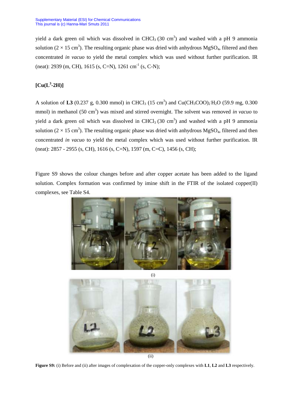yield a dark green oil which was dissolved in CHCl<sub>3</sub> (30 cm<sup>3</sup>) and washed with a pH 9 ammonia solution ( $2 \times 15$  cm<sup>3</sup>). The resulting organic phase was dried with anhydrous MgSO<sub>4</sub>, filtered and then concentrated *in vacuo* to yield the metal complex which was used without further purification. IR (neat): 2939 (m, CH), 1615 (s, C=N), 1261 cm<sup>-1</sup> (s, C-N);

### $\left[\text{Cu}(\text{L}^3\text{-}2\text{H})\right]$

A solution of L3 (0.237 g, 0.300 mmol) in CHCl<sub>3</sub> (15 cm<sup>3</sup>) and Cu(CH<sub>3</sub>COO)<sub>2</sub>H<sub>2</sub>O (59.9 mg, 0.300 mmol) in methanol (50 cm<sup>3</sup>) was mixed and stirred overnight. The solvent was removed *in vacuo* to yield a dark green oil which was dissolved in CHCl<sub>3</sub> (30 cm<sup>3</sup>) and washed with a pH 9 ammonia solution ( $2 \times 15$  cm<sup>3</sup>). The resulting organic phase was dried with anhydrous MgSO<sub>4</sub>, filtered and then concentrated *in vacuo* to yield the metal complex which was used without further purification. IR (neat): 2857 - 2955 (s, CH), 1616 (s, C=N), 1597 (m, C=C), 1456 (s, CH);

Figure S9 shows the colour changes before and after copper acetate has been added to the ligand solution. Complex formation was confirmed by imine shift in the FTIR of the isolated copper(II) complexes, see Table S4.



**Figure S9:** (i) Before and (ii) after images of complexation of the copper-only complexes with **L1**, **L2** and **L3** respectively.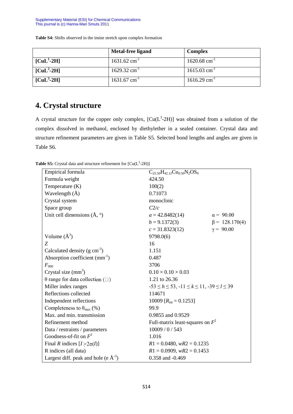|                                                | Metal-free ligand          | <b>Complex</b>             |
|------------------------------------------------|----------------------------|----------------------------|
| $\left[ \text{CuL}^{1}$ -2H $\right]$          | $1631.62$ cm <sup>-1</sup> | $1620.68$ cm <sup>-1</sup> |
| $\text{[CuL}^2\text{-}2\text{H}$               | $1629.32$ cm <sup>-1</sup> | $1615.03$ cm <sup>-1</sup> |
| $\left[ \text{CuL}^3\text{-}2\text{H} \right]$ | $1631.67$ cm <sup>-1</sup> | $1616.29$ cm <sup>-1</sup> |

**Table S4:** Shifts observed in the imine stretch upon complex formation

# **4. Crystal structure**

A crystal structure for the copper only complex,  $[Cu(L<sup>3</sup>-2H)]$  was obtained from a solution of the complex dissolved in methanol, enclosed by diethylether in a sealed container. Crystal data and structure refinement parameters are given in Table S5. Selected bond lengths and angles are given in Table S6.

**Table S5:** Crystal data and structure refinement for  $\text{[Cu(L}^3\text{-}2H)\text{]}$ 

| Empirical formula                                | $C_{25.50}H_{42.12}Cu_{0.50}N_2OS_0$                         |                      |  |
|--------------------------------------------------|--------------------------------------------------------------|----------------------|--|
| Formula weight                                   | 424.50                                                       |                      |  |
| Temperature (K)                                  | 100(2)                                                       |                      |  |
| Wavelength (Å)                                   | 0.71073                                                      |                      |  |
| Crystal system                                   | monoclinic                                                   |                      |  |
| Space group                                      | C2/c                                                         |                      |  |
| Unit cell dimensions $(\AA, \degree)$            | $a = 42.8482(14)$                                            | $\alpha = 90.00$     |  |
|                                                  | $b = 9.1372(3)$                                              | $\beta = 128.170(4)$ |  |
|                                                  | $c = 31.8323(12)$                                            | $y = 90.00$          |  |
| Volume $(\AA^3)$                                 | 9798.0(6)                                                    |                      |  |
| Z                                                | 16                                                           |                      |  |
| Calculated density $(g \text{ cm}^{-3})$         | 1.151                                                        |                      |  |
| Absorption coefficient $(mm^{-1})$               | 0.487                                                        |                      |  |
| $F_{000}$                                        | 3706                                                         |                      |  |
| Crystal size $(mm3)$                             | $0.10 \times 0.10 \times 0.03$                               |                      |  |
| $\theta$ range for data collection ( $\square$ ) | 1.21 to 26.36                                                |                      |  |
| Miller index ranges                              | $-53 \le h \le 53$ , $-11 \le k \le 11$ , $-39 \le l \le 39$ |                      |  |
| Reflections collected                            | 114671                                                       |                      |  |
| Independent reflections                          | 10009 $[R_{\text{int}} = 0.1253]$                            |                      |  |
| Completeness to $\theta_{\text{max}}$ (%)        | 99.9                                                         |                      |  |
| Max. and min. transmission                       | 0.9855 and 0.9529                                            |                      |  |
| Refinement method                                | Full-matrix least-squares on $F^2$                           |                      |  |
| Data / restraints / parameters                   | 10009/0/543                                                  |                      |  |
| Goodness-of-fit on $F^2$                         | 1.016                                                        |                      |  |
| Final R indices $[I>2\sigma(I)]$                 | $R1 = 0.0480$ , $wR2 = 0.1235$                               |                      |  |
| R indices (all data)                             | $R1 = 0.0909$ , $wR2 = 0.1453$                               |                      |  |
| Largest diff. peak and hole (e $A^{-3}$ )        | 0.358 and -0.469                                             |                      |  |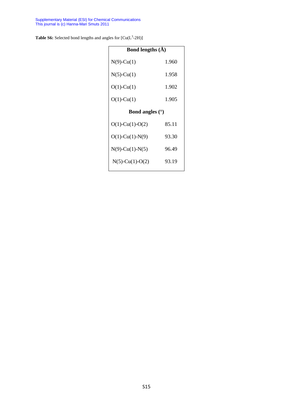**Table S6:** Selected bond lengths and angles for  $\left[ Cu(L^3-2H) \right]$ 

| Bond lengths $(\AA)$  |       |  |  |  |
|-----------------------|-------|--|--|--|
| $N(9)$ -Cu(1)         | 1.960 |  |  |  |
| $N(5)-Cu(1)$          | 1.958 |  |  |  |
| $O(1)$ -Cu(1)         | 1.902 |  |  |  |
| $O(1)$ -Cu(1)         | 1.905 |  |  |  |
| Bond angles $(°)$     |       |  |  |  |
| $O(1)$ -Cu(1)-O(2)    | 85.11 |  |  |  |
| $O(1)$ -Cu(1)-N(9)    | 93.30 |  |  |  |
| $N(9)$ -Cu(1)- $N(5)$ | 96.49 |  |  |  |
| $N(5)$ -Cu(1)-O(2)    | 93.19 |  |  |  |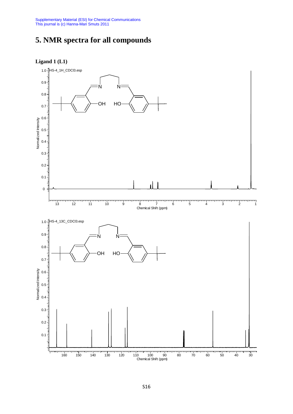# **5. NMR spectra for all compounds**



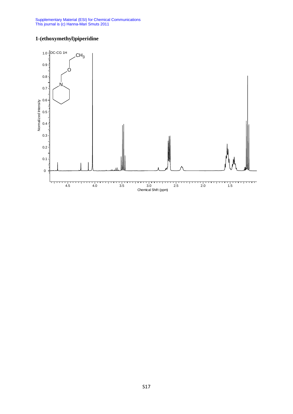### **1-(ethoxymethyl)piperidine**

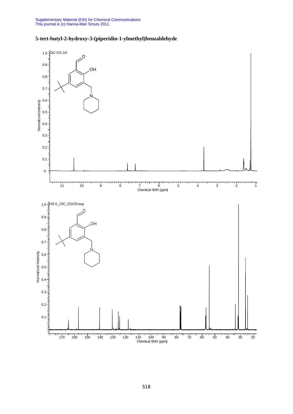Ξ



### **5-tert-butyl-2-hydroxy-3-(piperidin-1-ylmethyl)benzaldehyde**

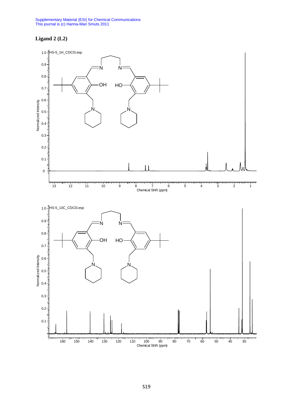### **Ligand 2 (L2)**

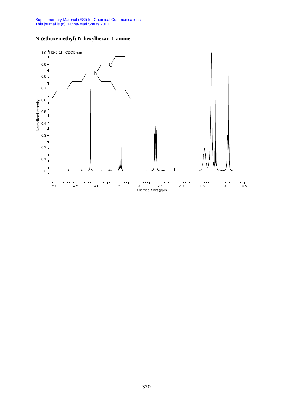

### **N-(ethoxymethyl)-N-hexylhexan-1-amine**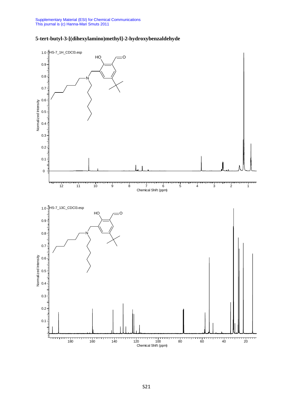

### **5-tert-butyl-3-[(dihexylamino)methyl]-2-hydroxybenzaldehyde**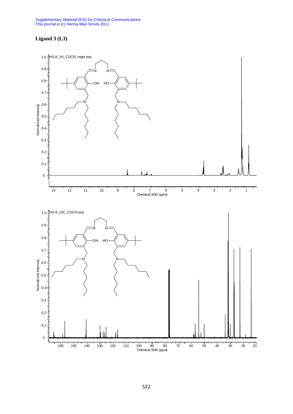### **Ligand 3 (L3)**

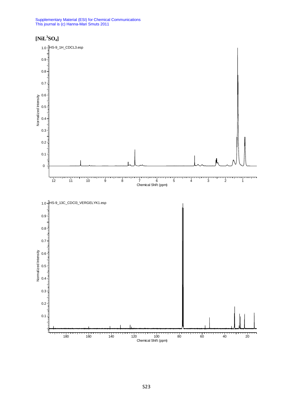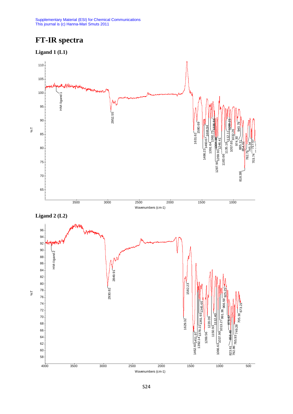# **FT-IR spectra**

**Ligand 1 (L1)**

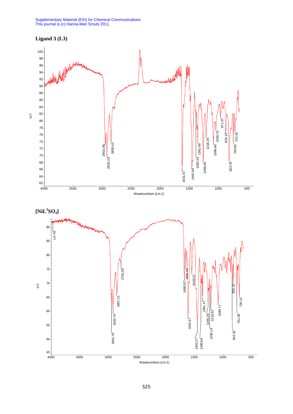

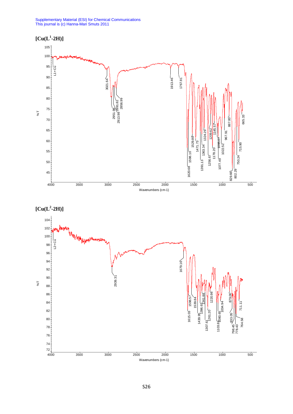Supplementary Material (ESI) for Chemical Communications This journal is (c) Hanna-Mari Smuts 2011





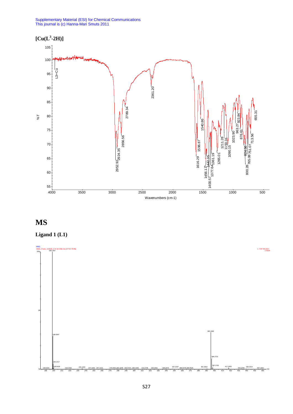

# **MS**



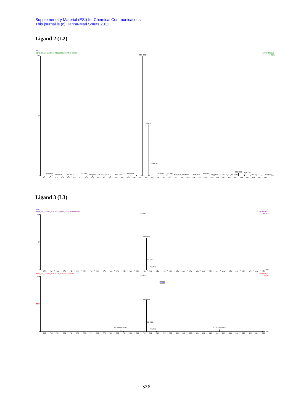### **Ligand 2 (L2)**



### **Ligand 3 (L3)**